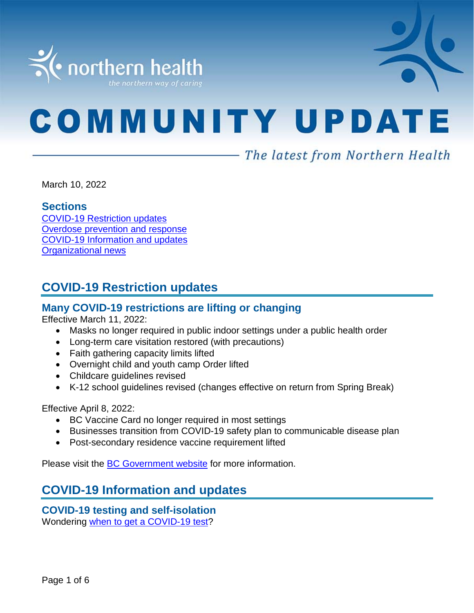

# **COMMUNITY UPDATE**

# - The latest from Northern Health

March 10, 2022

#### **Sections**

COVID-19 [Restriction updates](#page-0-0) [Overdose prevention and response](#page-0-1) [COVID-19 Information and updates](#page-0-1) [Organizational news](#page-5-0)

# <span id="page-0-0"></span>**COVID-19 Restriction updates**

# **Many COVID-19 restrictions are lifting or changing**

Effective March 11, 2022:

- Masks no longer required in public indoor settings under a public health order
- Long-term care visitation restored (with precautions)
- Faith gathering capacity limits lifted
- Overnight child and youth camp Order lifted
- Childcare guidelines revised
- K-12 school guidelines revised (changes effective on return from Spring Break)

Effective April 8, 2022:

- BC Vaccine Card no longer required in most settings
- Businesses transition from COVID-19 safety plan to communicable disease plan
- Post-secondary residence vaccine requirement lifted

<span id="page-0-1"></span>Please visit the [BC Government website](https://www2.gov.bc.ca/gov/content/covid-19/info/restrictions) for more information.

# **COVID-19 Information and updates**

**COVID-19 testing and self-isolation** Wondering [when to get a COVID-19 test?](https://bc.thrive.health/)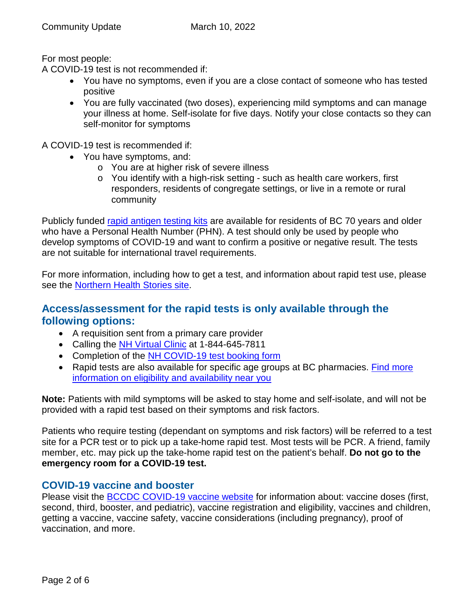For most people:

A COVID-19 test is not recommended if:

- You have no symptoms, even if you are a close contact of someone who has tested positive
- You are fully vaccinated (two doses), experiencing mild symptoms and can manage your illness at home. Self-isolate for five days. Notify your close contacts so they can self-monitor for symptoms

A COVID-19 test is recommended if:

- You have symptoms, and:
	- o You are at higher risk of severe illness
	- o You identify with a high-risk setting such as health care workers, first responders, residents of congregate settings, or live in a remote or rural community

Publicly funded [rapid antigen testing kits](https://www2.gov.bc.ca/gov/content/covid-19/info/testing) are available for residents of BC 70 years and older who have a Personal Health Number (PHN). A test should only be used by people who develop symptoms of COVID-19 and want to confirm a positive or negative result. The tests are not suitable for international travel requirements.

For more information, including how to get a test, and information about rapid test use, please see the Northern [Health Stories site.](https://stories.northernhealth.ca/news/when-get-covid-19-test-updated-guidelines)

# **Access/assessment for the rapid tests is only available through the following options:**

- A requisition sent from a primary care provider
- Calling the [NH Virtual Clinic](https://www.northernhealth.ca/locations/medical-clinics/virtual-clinic) at 1-844-645-7811
- Completion of the [NH COVID-19 test booking form](https://northernhealthcovid.secureform.ca/index.php)
- Rapid tests are also available for specific age groups at BC pharmacies. [Find more](https://www2.gov.bc.ca/gov/content/covid-19/info/testing)  [information on eligibility and availability near you](https://www2.gov.bc.ca/gov/content/covid-19/info/testing)

**Note:** Patients with mild symptoms will be asked to stay home and self-isolate, and will not be provided with a rapid test based on their symptoms and risk factors.

Patients who require testing (dependant on symptoms and risk factors) will be referred to a test site for a PCR test or to pick up a take-home rapid test. Most tests will be PCR. A friend, family member, etc. may pick up the take-home rapid test on the patient's behalf. **Do not go to the emergency room for a COVID-19 test.**

# **COVID-19 vaccine and booster**

Please visit the **BCCDC COVID-19 vaccine website** for information about: vaccine doses (first, second, third, booster, and pediatric), vaccine registration and eligibility, vaccines and children, getting a vaccine, vaccine safety, vaccine considerations (including pregnancy), proof of vaccination, and more.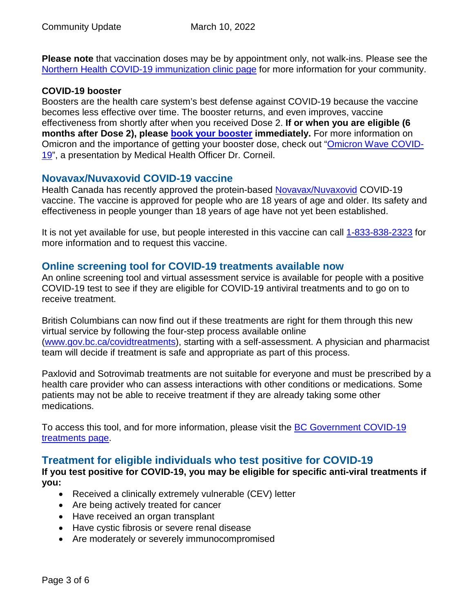**Please note** that vaccination doses may be by appointment only, not walk-ins. Please see the [Northern Health COVID-19 immunization clinic page](https://www.northernhealth.ca/health-topics/covid-19-immunization-clinics) for more information for your community.

#### **COVID-19 booster**

Boosters are the health care system's best defense against COVID-19 because the vaccine becomes less effective over time. The booster returns, and even improves, vaccine effectiveness from shortly after when you received Dose 2. **If or when you are eligible (6 months after Dose 2), please [book your booster](https://www.getvaccinated.gov.bc.ca/s/) immediately.** For more information on Omicron and the importance of getting your booster dose, check out ["Omicron Wave COVID-](https://youtu.be/Dm_lvD2_wEg)[19"](https://youtu.be/Dm_lvD2_wEg), a presentation by Medical Health Officer Dr. Corneil.

# **Novavax/Nuvaxovid COVID-19 vaccine**

Health Canada has recently approved the protein-based [Novavax/Nuvaxovid](https://www.canada.ca/en/health-canada/services/drugs-health-products/covid19-industry/drugs-vaccines-treatments/vaccines/novavax.html) COVID-19 vaccine. The vaccine is approved for people who are 18 years of age and older. Its safety and effectiveness in people younger than 18 years of age have not yet been established.

It is not yet available for use, but people interested in this vaccine can call [1-833-838-2323](https://www2.gov.bc.ca/gov/content/covid-19/vaccine) for more information and to request this vaccine.

## **Online screening tool for COVID-19 treatments available now**

An online screening tool and virtual assessment service is available for people with a positive COVID-19 test to see if they are eligible for COVID-19 antiviral treatments and to go on to receive treatment.

British Columbians can now find out if these treatments are right for them through this new virtual service by following the four-step process available online [\(www.gov.bc.ca/covidtreatments\)](http://www.gov.bc.ca/covidtreatments), starting with a self-assessment. A physician and pharmacist team will decide if treatment is safe and appropriate as part of this process.

Paxlovid and Sotrovimab treatments are not suitable for everyone and must be prescribed by a health care provider who can assess interactions with other conditions or medications. Some patients may not be able to receive treatment if they are already taking some other medications.

To access this tool, and for more information, please visit the **BC Government COVID-19** [treatments page.](http://www.gov.bc.ca/covidtreatments)

# **Treatment for eligible individuals who test positive for COVID-19**

**If you test positive for COVID-19, you may be eligible for specific anti-viral treatments if you:** 

- Received a clinically extremely vulnerable (CEV) letter
- Are being actively treated for cancer
- Have received an organ transplant
- Have cystic fibrosis or severe renal disease
- Are moderately or severely immunocompromised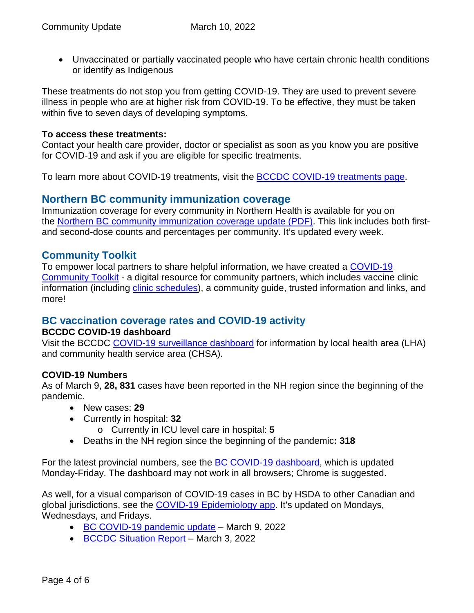• Unvaccinated or partially vaccinated people who have certain chronic health conditions or identify as Indigenous

These treatments do not stop you from getting COVID-19. They are used to prevent severe illness in people who are at higher risk from COVID-19. To be effective, they must be taken within five to seven days of developing symptoms.

#### **To access these treatments:**

Contact your health care provider, doctor or specialist as soon as you know you are positive for COVID-19 and ask if you are eligible for specific treatments.

To learn more about COVID-19 treatments, visit the **BCCDC COVID-19** treatments page.

# **Northern BC community immunization coverage**

Immunization coverage for every community in Northern Health is available for you on the [Northern BC community immunization coverage update](https://www.northernhealth.ca/sites/northern_health/files/health-information/health-topics/vaccine/documents/northern-bc-immunization-coverage.pdf) (PDF). This link includes both firstand second-dose counts and percentages per community. It's updated every week.

## **Community Toolkit**

To empower local partners to share helpful information, we have created a [COVID-19](https://www.northernhealth.ca/health-topics/covid-19-vaccine-plan/covid-19-community-toolkit)  [Community Toolkit](https://www.northernhealth.ca/health-topics/covid-19-vaccine-plan/covid-19-community-toolkit) - a digital resource for community partners, which includes vaccine clinic information (including *clinic schedules*), a community guide, trusted information and links, and more!

# **BC vaccination coverage rates and COVID-19 activity**

#### **BCCDC COVID-19 dashboard**

Visit the BCCDC [COVID-19 surveillance dashboard](https://public.tableau.com/app/profile/bccdc/viz/BCCDCCOVID-19SurveillanceDashboard/Introduction) for information by local health area (LHA) and community health service area (CHSA).

#### **COVID-19 Numbers**

As of March 9, **28, 831** cases have been reported in the NH region since the beginning of the pandemic.

- New cases: **29**
- Currently in hospital: **32**
	- o Currently in ICU level care in hospital: **5**
- Deaths in the NH region since the beginning of the pandemic**: 318**

For the latest provincial numbers, see the [BC COVID-19 dashboard,](https://experience.arcgis.com/experience/a6f23959a8b14bfa989e3cda29297ded) which is updated Monday-Friday. The dashboard may not work in all browsers; Chrome is suggested.

As well, for a visual comparison of COVID-19 cases in BC by HSDA to other Canadian and global jurisdictions, see the [COVID-19 Epidemiology app.](https://bccdc.shinyapps.io/covid19_global_epi_app/) It's updated on Mondays, Wednesdays, and Fridays.

- [BC COVID-19 pandemic update](https://news.gov.bc.ca/releases/2022HLTH0079-000318) March 9, 2022
- [BCCDC Situation Report](http://www.bccdc.ca/Health-Info-Site/Documents/COVID_sitrep/Week_7_2022_BC_COVID-19_Situation_Report.pdf) March 3, 2022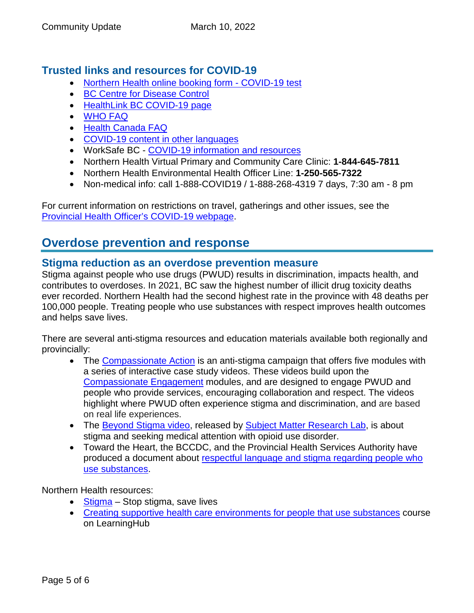# **Trusted links and resources for COVID-19**

- [Northern Health online booking form -](https://northernhealthcovid.secureform.ca/index.php) COVID-19 test
- [BC Centre for Disease Control](http://www.bccdc.ca/health-professionals/clinical-resources/covid-19-care)
- [HealthLink BC COVID-19 page](https://www.healthlinkbc.ca/health-feature/coronavirus-disease-covid-19)
- [WHO FAQ](https://www.who.int/news-room/q-a-detail/q-a-coronaviruses)
- [Health Canada FAQ](https://www.canada.ca/en/public-health/services/diseases/2019-novel-coronavirus-infection/canadas-reponse.html)
- [COVID-19 content in other languages](http://www.bccdc.ca/health-info/diseases-conditions/covid-19/about-covid-19/translated-content)
- WorkSafe BC [COVID-19 information and resources](https://www.worksafebc.com/en/covid-19)
- Northern Health Virtual Primary and Community Care Clinic: **1-844-645-7811**
- Northern Health Environmental Health Officer Line: **1-250-565-7322**
- Non-medical info: call 1-888-COVID19 / 1-888-268-4319 7 days, 7:30 am 8 pm

For current information on restrictions on travel, gatherings and other issues, see the [Provincial Health Officer's COVID-19 webpage.](https://www2.gov.bc.ca/gov/content/health/about-bc-s-health-care-system/office-of-the-provincial-health-officer/current-health-topics/covid-19-novel-coronavirus)

# **Overdose prevention and response**

## **Stigma reduction as an overdose prevention measure**

Stigma against people who use drugs (PWUD) results in discrimination, impacts health, and contributes to overdoses. In 2021, BC saw the highest number of illicit drug toxicity deaths ever recorded. Northern Health had the second highest rate in the province with 48 deaths per 100,000 people. Treating people who use substances with respect improves health outcomes and helps save lives.

There are several anti-stigma resources and education materials available both regionally and provincially:

- The [Compassionate Action](https://towardtheheart.com/peer2peer-project) is an anti-stigma campaign that offers five modules with a series of interactive case study videos. These videos build upon the [Compassionate Engagement](https://towardtheheart.com/reducing-stigma) modules, and are designed to engage PWUD and people who provide services, encouraging collaboration and respect. The videos highlight where PWUD often experience stigma and discrimination, and are based on real life experiences.
- The [Beyond Stigma video,](https://subjectmatter.ca/work/beyond-stigma/) released by [Subject Matter Research Lab,](https://subjectmatter.ca/) is about stigma and seeking medical attention with opioid use disorder.
- Toward the Heart, the BCCDC, and the Provincial Health Services Authority have produced a document about [respectful language and stigma regarding people who](https://towardtheheart.com/assets/uploads/1502392191GWLGqDb5w5GIajwRuiq4lPoSyhSoMkp3T7rL5mI.pdf)  [use substances.](https://towardtheheart.com/assets/uploads/1502392191GWLGqDb5w5GIajwRuiq4lPoSyhSoMkp3T7rL5mI.pdf)

Northern Health resources:

- [Stigma](https://www.northernhealth.ca/health-topics/stigma) Stop stigma, save lives
- [Creating supportive health care environments for people that use substances](https://learninghub.phsa.ca/Courses/22113/nha-cl-creating-supportive-health-care-environments-for-people-that-use-substances) course on LearningHub